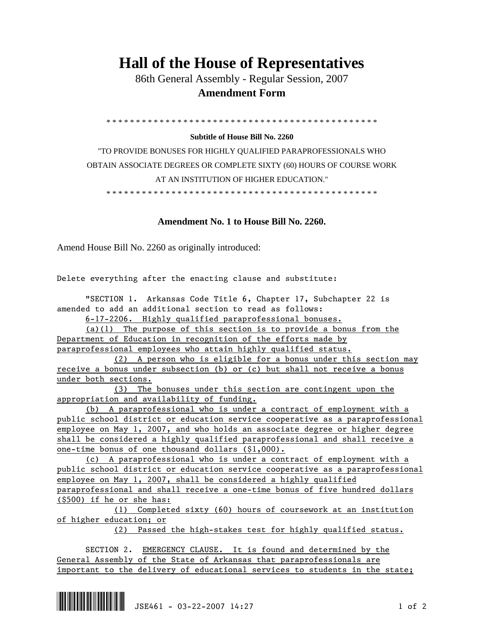## **Hall of the House of Representatives**

 86th General Assembly - Regular Session, 2007  **Amendment Form** 

\* \* \* \* \* \* \* \* \* \* \* \* \* \* \* \* \* \* \* \* \* \* \* \* \* \* \* \* \* \* \* \* \* \* \* \* \* \* \* \* \* \* \* \* \* \*

## **Subtitle of House Bill No. 2260**

"TO PROVIDE BONUSES FOR HIGHLY QUALIFIED PARAPROFESSIONALS WHO OBTAIN ASSOCIATE DEGREES OR COMPLETE SIXTY (60) HOURS OF COURSE WORK AT AN INSTITUTION OF HIGHER EDUCATION."

\* \* \* \* \* \* \* \* \* \* \* \* \* \* \* \* \* \* \* \* \* \* \* \* \* \* \* \* \* \* \* \* \* \* \* \* \* \* \* \* \* \* \* \* \* \*

## **Amendment No. 1 to House Bill No. 2260.**

Amend House Bill No. 2260 as originally introduced:

Delete everything after the enacting clause and substitute:

 "SECTION 1. Arkansas Code Title 6, Chapter 17, Subchapter 22 is amended to add an additional section to read as follows:

6-17-2206. Highly qualified paraprofessional bonuses.

 (a)(1) The purpose of this section is to provide a bonus from the Department of Education in recognition of the efforts made by paraprofessional employees who attain highly qualified status.

 (2) A person who is eligible for a bonus under this section may receive a bonus under subsection (b) or (c) but shall not receive a bonus under both sections.

 (3) The bonuses under this section are contingent upon the appropriation and availability of funding.

 (b) A paraprofessional who is under a contract of employment with a public school district or education service cooperative as a paraprofessional employee on May 1, 2007, and who holds an associate degree or higher degree shall be considered a highly qualified paraprofessional and shall receive a one-time bonus of one thousand dollars (\$1,000).

 (c) A paraprofessional who is under a contract of employment with a public school district or education service cooperative as a paraprofessional employee on May 1, 2007, shall be considered a highly qualified paraprofessional and shall receive a one-time bonus of five hundred dollars (\$500) if he or she has:

 (1) Completed sixty (60) hours of coursework at an institution of higher education; or

(2) Passed the high-stakes test for highly qualified status.

 SECTION 2. EMERGENCY CLAUSE. It is found and determined by the General Assembly of the State of Arkansas that paraprofessionals are important to the delivery of educational services to students in the state;